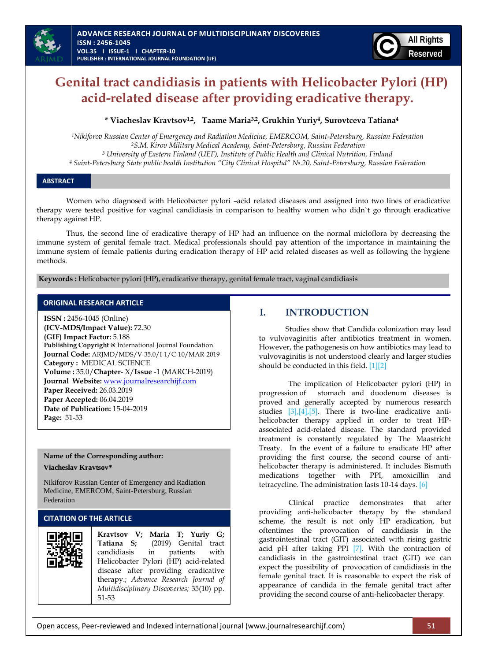

# **Genital tract candidiasis in patients with Helicobacter Pylori (HP) acid-related disease after providing eradicative therapy.**

#### **\* Viacheslav Kravtsov1,2 , Taame Maria3,2 , Grukhin Yuriy<sup>4</sup> , Surovtceva Tatiana<sup>4</sup>**

*Nikiforov Russian Center of Emergency and Radiation Medicine, EMERCOM, Saint-Petersburg, Russian Federation S.M. Kirov Military Medical Academy, Saint-Petersburg, Russian Federation University of Eastern Finland (UEF), Institute of Public Health and Clinical Nutrition, Finland Saint-Petersburg State public health Institution "City Clinical Hospital" №.20, Saint-Petersburg, Russian Federation*

#### **ABSTRACT**

Women who diagnosed with Helicobacter pylori –acid related diseases and assigned into two lines of eradicative therapy were tested positive for vaginal candidiasis in comparison to healthy women who didn`t go through eradicative therapy against HP.

Thus, the second line of eradicative therapy of HP had an influence on the normal micloflora by decreasing the immune system of genital female tract. Medical professionals should pay attention of the importance in maintaining the immune system of female patients during eradication therapy of HP acid related diseases as well as following the hygiene methods.

**Keywords :** Helicobacter pylori (HP), eradicative therapy, genital female tract, vaginal candidiasis

#### **ORIGINAL RESEARCH ARTICLE**

**ISSN :** 2456-1045 (Online) **(ICV-MDS/Impact Value):** 72.30 **(GIF) Impact Factor:** 5.188 **Publishing Copyright @** International Journal Foundation **Journal Code:** ARJMD/MDS/V-35.0/I-1/C-10/MAR-2019 **Category :** MEDICAL SCIENCE **Volume :** 35.0/**Chapter**- X/**Issue** -1 (MARCH-2019) **Journal Website:** [www.journalresearchijf.com](http://www.journalresearchijf.com/) **Paper Received:** 26.03.2019 **Paper Accepted:** 06.04.2019 **Date of Publication:** 15-04-2019 **Page:** 51-53

# **Name of the Corresponding author:**

#### **Viacheslav Kravtsov\***

Nikiforov Russian Center of Emergency and Radiation Medicine, EMERCOM, Saint-Petersburg, Russian Federation

#### **CITATION OF THE ARTICLE**

# **I. INTRODUCTION**

Studies show that Candida colonization may lead to vulvovaginitis after antibiotics treatment in women. However, the pathogenesis on how antibiotics may lead to vulvovaginitis is not understood clearly and larger studies should be conducted in this field. [\[1\]\[2\]](#page-2-0)

The implication of Helicobacter pylori (НР) in progression of stomach and duodenum diseases is proved and generally accepted by numerous research studies  $[3]/[4]/[5]$ . There is two-line eradicative antihelicobacter therapy applied in order to treat HPassociated acid-related disease. The standard provided treatment is constantly regulated by The Maastricht Treaty. In the event of a failure to eradicate HP after providing the first course, the second course of antihelicobacter therapy is administered. It includes Bismuth medications together with PPI, amoxicillin and tetracycline. The administration lasts 10-14 days. [\[6\]](#page-2-4)

Clinical practice demonstrates that after providing anti-helicobacter therapy by the standard scheme, the result is not only HP eradication, but oftentimes the provocation of candidiasis in the gastrointestinal tract (GIT) associated with rising gastric acid pH after taking PPI [\[7\].](#page-2-5) With the contraction of candidiasis in the gastrointestinal tract (GIT) we can expect the possibility of provocation of candidiasis in the female genital tract. It is reasonable to expect the risk of appearance of candida in the female genital tract after providing the second course of anti-helicobacter therapy.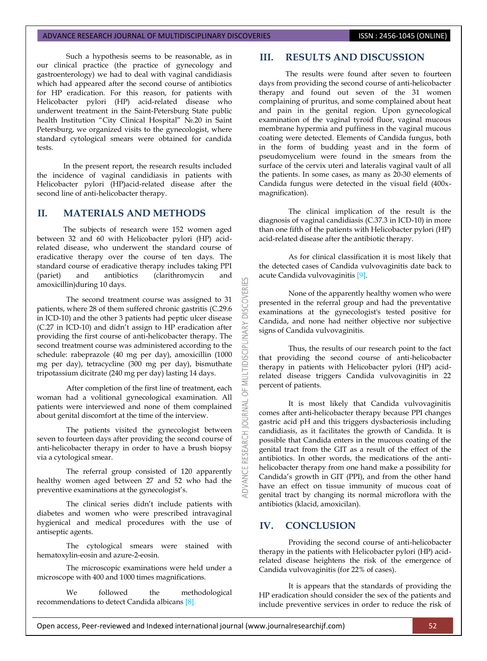#### ADVANCE RESEARCH JOURNAL OF MULTIDISCIPLINARY DISCOVERIES **ISSN : 2456-1045 (ONLINE)**

Such a hypothesis seems to be reasonable, as in our clinical practice (the practice of gynecology and gastroenterology) we had to deal with vaginal candidiasis which had appeared after the second course of antibiotics for HP eradication. For this reason, for patients with Helicobacter pylori (HP) acid-related disease who underwent treatment in the Saint-Petersburg State public health Institution "City Clinical Hospital" №.20 in Saint Petersburg, we organized visits to the gynecologist, where standard cytological smears were obtained for candida tests.

In the present report, the research results included the incidence of vaginal candidiasis in patients with Helicobacter pylori (HP)acid-related disease after the second line of anti-helicobacter therapy.

### **II. MATERIALS AND METHODS**

The subjects of research were 152 women aged between 32 and 60 with Helicobacter pylori (HP) acidrelated disease, who underwent the standard course of eradicative therapy over the course of ten days. The standard course of eradicative therapy includes taking PPI (pariet) and antibiotics (clarithromycin and amoxicillin)during 10 days.

The second treatment course was assigned to 31 patients, where 28 of them suffered chronic gastritis (C.29.6 in ICD-10) and the other 3 patients had peptic ulcer disease (C.27 in ICD-10) and didn't assign to HP eradication after providing the first course of anti-helicobacter therapy. The second treatment course was administered according to the schedule: rabeprazole (40 mg per day), amoxicillin (1000 mg per day), tetracycline (300 mg per day), bismuthate tripotassium dicitrate (240 mg per day) lasting 14 days.

After completion of the first line of treatment, each woman had a volitional gynecological examination. All patients were interviewed and none of them complained about genital discomfort at the time of the interview.

The patients visited the gynecologist between seven to fourteen days after providing the second course of anti-helicobacter therapy in order to have a brush biopsy via a cytological smear.

The referral group consisted of 120 apparently healthy women aged between 27 and 52 who had the preventive examinations at the gynecologist's.

The clinical series didn't include patients with diabetes and women who were prescribed intravaginal hygienical and medical procedures with the use of antiseptic agents.

The cytological smears were stained with hematoxylin-eosin and azure-2-eosin.

The microscopic examinations were held under a microscope with 400 and 1000 times magnifications.

We followed the methodological recommendations to detect Candida albican[s \[8\].](#page-2-6)

#### **III. RESULTS AND DISCUSSION**

The results were found after seven to fourteen days from providing the second course of anti-helicobacter therapy and found out seven of the 31 women complaining of pruritus, and some complained about heat and pain in the genital region. Upon gynecological examination of the vaginal tyroid fluor, vaginal mucous membrane hypermia and puffiness in the vaginal mucous coating were detected. Elements of Candida fungus, both in the form of budding yeast and in the form of pseudomycelium were found in the smears from the surface of the cervix uteri and lateralis vaginal vault of all the patients. In some cases, as many as 20-30 elements of Candida fungus were detected in the visual field (400xmagnification).

The clinical implication of the result is the diagnosis of vaginal candidiasis (C.37.3 in ICD-10) in more than one fifth of the patients with Helicobacter pylori (HP) acid-related disease after the antibiotic therapy.

As for clinical classification it is most likely that the detected cases of Candida vulvovaginitis date back to acute Candida vulvovaginitis [\[9\].](#page-2-7)

None of the apparently healthy women who were presented in the referral group and had the preventative examinations at the gynecologist's tested positive for Candida, and none had neither objective nor subjective signs of Candida vulvovaginitis.

Thus, the results of our research point to the fact that providing the second course of anti-helicobacter therapy in patients with Helicobacter pylori (HP) acidrelated disease triggers Candida vulvovaginitis in 22 percent of patients.

It is most likely that Candida vulvovaginitis comes after anti-helicobacter therapy because PPI changes gastric acid pH and this triggers dysbacteriosis including candidiasis, as it facilitates the growth of Candida. It is possible that Candida enters in the mucous coating of the genital tract from the GIT as a result of the effect of the antibiotics. In other words, the medications of the antihelicobacter therapy from one hand make a possibility for Candida's growth in GIT (PPI), and from the other hand have an effect on tissue immunity of mucous coat of genital tract by changing its normal microflora with the antibiotics (klacid, amoxicilan).

# **IV. CONCLUSION**

53

**DISCOVERI** 

**IDISCIPL** 

5 **IRNAL** a

RESEARCH

Providing the second course of anti-helicobacter therapy in the patients with Helicobacter pylori (HP) acidrelated disease heightens the risk of the emergence of Candida vulvovaginitis (for 22% of cases).

It is appears that the standards of providing the HP eradication should consider the sex of the patients and include preventive services in order to reduce the risk of